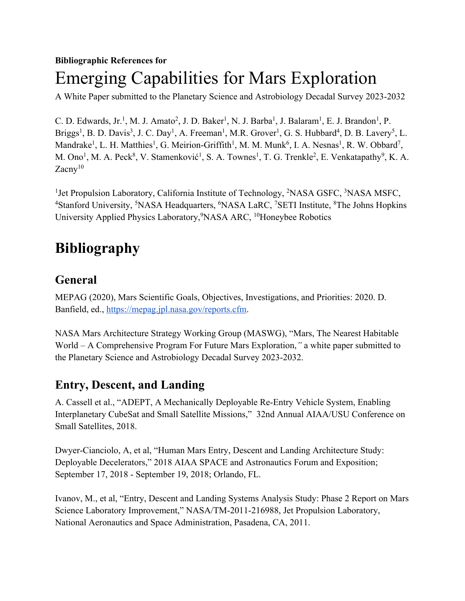#### **Bibliographic References for**

# Emerging Capabilities for Mars Exploration

A White Paper submitted to the Planetary Science and Astrobiology Decadal Survey 2023-2032

C. D. Edwards, Jr.<sup>1</sup>, M. J. Amato<sup>2</sup>, J. D. Baker<sup>1</sup>, N. J. Barba<sup>1</sup>, J. Balaram<sup>1</sup>, E. J. Brandon<sup>1</sup>, P. Briggs<sup>1</sup>, B. D. Davis<sup>3</sup>, J. C. Day<sup>1</sup>, A. Freeman<sup>1</sup>, M.R. Grover<sup>1</sup>, G. S. Hubbard<sup>4</sup>, D. B. Lavery<sup>5</sup>, L. Mandrake<sup>1</sup>, L. H. Matthies<sup>1</sup>, G. Meirion-Griffith<sup>1</sup>, M. M. Munk<sup>6</sup>, I. A. Nesnas<sup>1</sup>, R. W. Obbard<sup>7</sup>, M. Ono<sup>1</sup>, M. A. Peck<sup>8</sup>, V. Stamenković<sup>1</sup>, S. A. Townes<sup>1</sup>, T. G. Trenkle<sup>2</sup>, E. Venkatapathy<sup>9</sup>, K. A. Zacny<sup>10</sup>

<sup>1</sup>Jet Propulsion Laboratory, California Institute of Technology, <sup>2</sup>NASA GSFC, <sup>3</sup>NASA MSFC, <sup>4</sup>Stanford University, <sup>5</sup>NASA Headquarters, <sup>6</sup>NASA LaRC, <sup>7</sup>SETI Institute, <sup>8</sup>The Johns Hopkins University Applied Physics Laboratory, <sup>9</sup>NASA ARC, <sup>10</sup>Honeybee Robotics

## **Bibliography**

#### **General**

MEPAG (2020), Mars Scientific Goals, Objectives, Investigations, and Priorities: 2020. D. Banfield, ed., https://mepag.jpl.nasa.gov/reports.cfm.

NASA Mars Architecture Strategy Working Group (MASWG), "Mars, The Nearest Habitable World – A Comprehensive Program For Future Mars Exploration,*"* a white paper submitted to the Planetary Science and Astrobiology Decadal Survey 2023-2032.

#### **Entry, Descent, and Landing**

A. Cassell et al., "ADEPT, A Mechanically Deployable Re-Entry Vehicle System, Enabling Interplanetary CubeSat and Small Satellite Missions," 32nd Annual AIAA/USU Conference on Small Satellites, 2018.

Dwyer-Cianciolo, A, et al, "Human Mars Entry, Descent and Landing Architecture Study: Deployable Decelerators," 2018 AIAA SPACE and Astronautics Forum and Exposition; September 17, 2018 - September 19, 2018; Orlando, FL.

Ivanov, M., et al, "Entry, Descent and Landing Systems Analysis Study: Phase 2 Report on Mars Science Laboratory Improvement," NASA/TM-2011-216988, Jet Propulsion Laboratory, National Aeronautics and Space Administration, Pasadena, CA, 2011.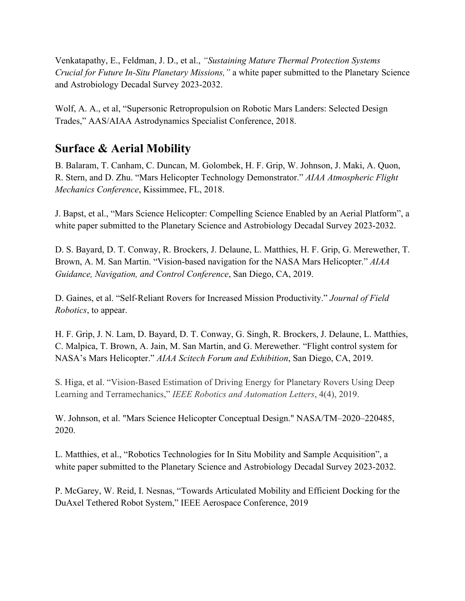Venkatapathy, E., Feldman, J. D., et al., *"Sustaining Mature Thermal Protection Systems Crucial for Future In-Situ Planetary Missions,"* a white paper submitted to the Planetary Science and Astrobiology Decadal Survey 2023-2032.

Wolf, A. A., et al, "Supersonic Retropropulsion on Robotic Mars Landers: Selected Design Trades," AAS/AIAA Astrodynamics Specialist Conference, 2018.

#### **Surface & Aerial Mobility**

B. Balaram, T. Canham, C. Duncan, M. Golombek, H. F. Grip, W. Johnson, J. Maki, A. Quon, R. Stern, and D. Zhu. "Mars Helicopter Technology Demonstrator." *AIAA Atmospheric Flight Mechanics Conference*, Kissimmee, FL, 2018.

J. Bapst, et al., "Mars Science Helicopter: Compelling Science Enabled by an Aerial Platform", a white paper submitted to the Planetary Science and Astrobiology Decadal Survey 2023-2032.

D. S. Bayard, D. T. Conway, R. Brockers, J. Delaune, L. Matthies, H. F. Grip, G. Merewether, T. Brown, A. M. San Martin. "Vision-based navigation for the NASA Mars Helicopter." *AIAA Guidance, Navigation, and Control Conference*, San Diego, CA, 2019.

D. Gaines, et al. "Self-Reliant Rovers for Increased Mission Productivity." *Journal of Field Robotics*, to appear.

H. F. Grip, J. N. Lam, D. Bayard, D. T. Conway, G. Singh, R. Brockers, J. Delaune, L. Matthies, C. Malpica, T. Brown, A. Jain, M. San Martin, and G. Merewether. "Flight control system for NASA's Mars Helicopter." *AIAA Scitech Forum and Exhibition*, San Diego, CA, 2019.

S. Higa, et al. "Vision-Based Estimation of Driving Energy for Planetary Rovers Using Deep Learning and Terramechanics," *IEEE Robotics and Automation Letters*, 4(4), 2019.

W. Johnson, et al. "Mars Science Helicopter Conceptual Design." NASA/TM–2020–220485, 2020.

L. Matthies, et al., "Robotics Technologies for In Situ Mobility and Sample Acquisition", a white paper submitted to the Planetary Science and Astrobiology Decadal Survey 2023-2032.

P. McGarey, W. Reid, I. Nesnas, "Towards Articulated Mobility and Efficient Docking for the DuAxel Tethered Robot System," IEEE Aerospace Conference, 2019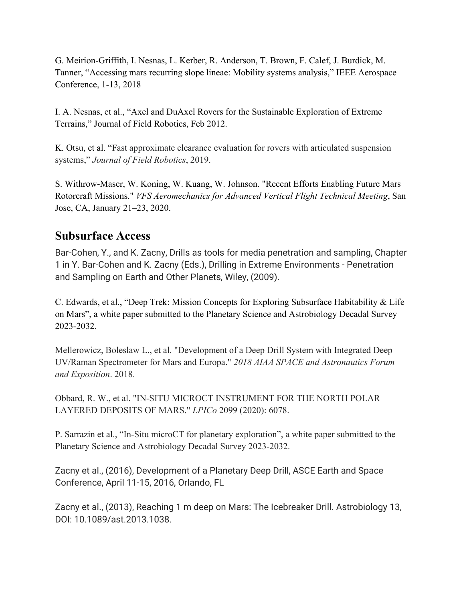G. Meirion-Griffith, I. Nesnas, L. Kerber, R. Anderson, T. Brown, F. Calef, J. Burdick, M. Tanner, "Accessing mars recurring slope lineae: Mobility systems analysis," IEEE Aerospace Conference, 1-13, 2018

I. A. Nesnas, et al., "Axel and DuAxel Rovers for the Sustainable Exploration of Extreme Terrains," Journal of Field Robotics, Feb 2012.

K. Otsu, et al. "Fast approximate clearance evaluation for rovers with articulated suspension systems," *Journal of Field Robotics*, 2019.

S. Withrow-Maser, W. Koning, W. Kuang, W. Johnson. "Recent Efforts Enabling Future Mars Rotorcraft Missions." *VFS Aeromechanics for Advanced Vertical Flight Technical Meeting*, San Jose, CA, January 21–23, 2020.

#### **Subsurface Access**

Bar-Cohen, Y., and K. Zacny, Drills as tools for media penetration and sampling, Chapter 1 in Y. Bar-Cohen and K. Zacny (Eds.), Drilling in Extreme Environments - Penetration and Sampling on Earth and Other Planets, Wiley, (2009).

C. Edwards, et al., "Deep Trek: Mission Concepts for Exploring Subsurface Habitability & Life on Mars", a white paper submitted to the Planetary Science and Astrobiology Decadal Survey 2023-2032.

Mellerowicz, Boleslaw L., et al. "Development of a Deep Drill System with Integrated Deep UV/Raman Spectrometer for Mars and Europa." *2018 AIAA SPACE and Astronautics Forum and Exposition*. 2018.

Obbard, R. W., et al. "IN-SITU MICROCT INSTRUMENT FOR THE NORTH POLAR LAYERED DEPOSITS OF MARS." *LPICo* 2099 (2020): 6078.

P. Sarrazin et al., "In-Situ microCT for planetary exploration", a white paper submitted to the Planetary Science and Astrobiology Decadal Survey 2023-2032.

Zacny et al., (2016), Development of a Planetary Deep Drill, ASCE Earth and Space Conference, April 11-15, 2016, Orlando, FL

Zacny et al., (2013), Reaching 1 m deep on Mars: The Icebreaker Drill. Astrobiology 13, DOI: 10.1089/ast.2013.1038.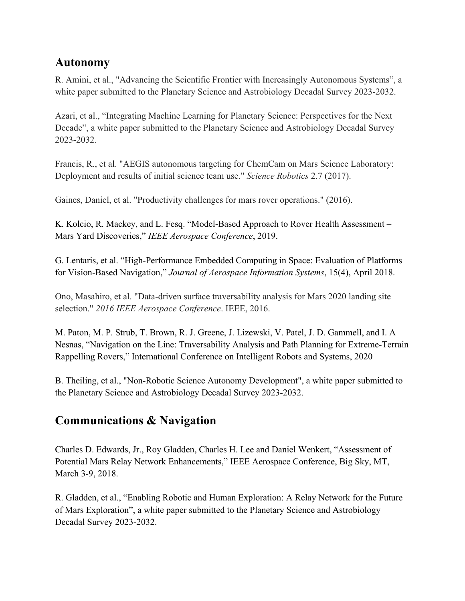#### **Autonomy**

R. Amini, et al., "Advancing the Scientific Frontier with Increasingly Autonomous Systems", a white paper submitted to the Planetary Science and Astrobiology Decadal Survey 2023-2032.

Azari, et al., "Integrating Machine Learning for Planetary Science: Perspectives for the Next Decade", a white paper submitted to the Planetary Science and Astrobiology Decadal Survey 2023-2032.

Francis, R., et al. "AEGIS autonomous targeting for ChemCam on Mars Science Laboratory: Deployment and results of initial science team use." *Science Robotics* 2.7 (2017).

Gaines, Daniel, et al. "Productivity challenges for mars rover operations." (2016).

K. Kolcio, R. Mackey, and L. Fesq. "Model-Based Approach to Rover Health Assessment – Mars Yard Discoveries," *IEEE Aerospace Conference*, 2019.

G. Lentaris, et al. "High-Performance Embedded Computing in Space: Evaluation of Platforms for Vision-Based Navigation," *Journal of Aerospace Information Systems*, 15(4), April 2018.

Ono, Masahiro, et al. "Data-driven surface traversability analysis for Mars 2020 landing site selection." *2016 IEEE Aerospace Conference*. IEEE, 2016.

M. Paton, M. P. Strub, T. Brown, R. J. Greene, J. Lizewski, V. Patel, J. D. Gammell, and I. A Nesnas, "Navigation on the Line: Traversability Analysis and Path Planning for Extreme-Terrain Rappelling Rovers," International Conference on Intelligent Robots and Systems, 2020

B. Theiling, et al., "Non-Robotic Science Autonomy Development", a white paper submitted to the Planetary Science and Astrobiology Decadal Survey 2023-2032.

### **Communications & Navigation**

Charles D. Edwards, Jr., Roy Gladden, Charles H. Lee and Daniel Wenkert, "Assessment of Potential Mars Relay Network Enhancements," IEEE Aerospace Conference, Big Sky, MT, March 3-9, 2018.

R. Gladden, et al., "Enabling Robotic and Human Exploration: A Relay Network for the Future of Mars Exploration", a white paper submitted to the Planetary Science and Astrobiology Decadal Survey 2023-2032.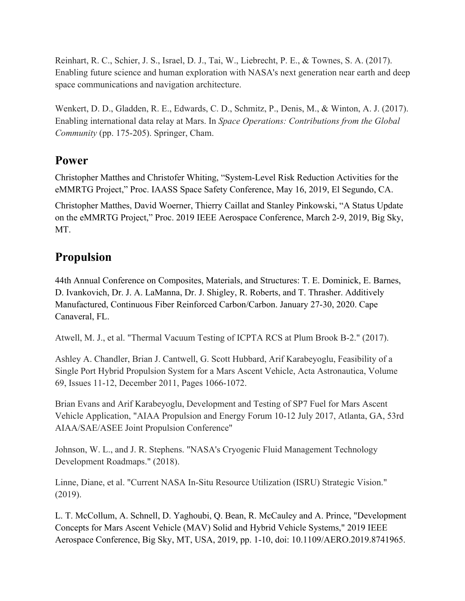Reinhart, R. C., Schier, J. S., Israel, D. J., Tai, W., Liebrecht, P. E., & Townes, S. A. (2017). Enabling future science and human exploration with NASA's next generation near earth and deep space communications and navigation architecture.

Wenkert, D. D., Gladden, R. E., Edwards, C. D., Schmitz, P., Denis, M., & Winton, A. J. (2017). Enabling international data relay at Mars. In *Space Operations: Contributions from the Global Community* (pp. 175-205). Springer, Cham.

#### **Power**

Christopher Matthes and Christofer Whiting, "System-Level Risk Reduction Activities for the eMMRTG Project," Proc. IAASS Space Safety Conference, May 16, 2019, El Segundo, CA.

Christopher Matthes, David Woerner, Thierry Caillat and Stanley Pinkowski, "A Status Update on the eMMRTG Project," Proc. 2019 IEEE Aerospace Conference, March 2-9, 2019, Big Sky, MT.

#### **Propulsion**

44th Annual Conference on Composites, Materials, and Structures: T. E. Dominick, E. Barnes, D. Ivankovich, Dr. J. A. LaManna, Dr. J. Shigley, R. Roberts, and T. Thrasher. Additively Manufactured, Continuous Fiber Reinforced Carbon/Carbon. January 27-30, 2020. Cape Canaveral, FL.

Atwell, M. J., et al. "Thermal Vacuum Testing of ICPTA RCS at Plum Brook B-2." (2017).

Ashley A. Chandler, Brian J. Cantwell, G. Scott Hubbard, Arif Karabeyoglu, Feasibility of a Single Port Hybrid Propulsion System for a Mars Ascent Vehicle, Acta Astronautica, Volume 69, Issues 11-12, December 2011, Pages 1066-1072.

Brian Evans and Arif Karabeyoglu, Development and Testing of SP7 Fuel for Mars Ascent Vehicle Application, "AIAA Propulsion and Energy Forum 10-12 July 2017, Atlanta, GA, 53rd AIAA/SAE/ASEE Joint Propulsion Conference"

Johnson, W. L., and J. R. Stephens. "NASA's Cryogenic Fluid Management Technology Development Roadmaps." (2018).

Linne, Diane, et al. "Current NASA In-Situ Resource Utilization (ISRU) Strategic Vision." (2019).

L. T. McCollum, A. Schnell, D. Yaghoubi, Q. Bean, R. McCauley and A. Prince, "Development Concepts for Mars Ascent Vehicle (MAV) Solid and Hybrid Vehicle Systems," 2019 IEEE Aerospace Conference, Big Sky, MT, USA, 2019, pp. 1-10, doi: 10.1109/AERO.2019.8741965.